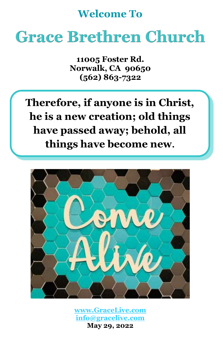## **Welcome To**

# **Grace Brethren Church**

**11005 Foster Rd. Norwalk, CA 90650 (562) 863-7322**

**Therefore, if anyone is in Christ, he is a new creation; old things have passed away; behold, all things have become new.**



**[www.GraceLive.com](http://www.gracelive.com/) [info@gracelive.com](mailto:info@gracelive.com) May 29, 2022**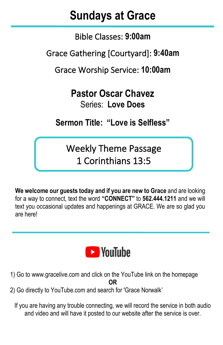## **Sundays at Grace**

Bible Classes: **9:00am**

Grace Gathering [Courtyard]: **9:40am**

Grace Worship Service: **10:00am**

**Pastor Oscar Chavez**

Series: **Love Does**

**Sermon Title: "Love is Selfless"**

Weekly Theme Passage 1 Corinthians 13:5

**We welcome our guests today and if you are new to Grace** and are looking for a way to connect, text the word **"CONNECT"** to **562.444.1211** and we will text you occasional updates and happenings at GRACE. We are so glad you are here!



- 1) Go to [www.gracelive.com](https://mandrillapp.com/track/click/30119321/www.gracelive.com?p=eyJzIjoiVFlsX2d2Skp4NlhxZ2p4SURJd1BiQ3BjS2dNIiwidiI6MSwicCI6IntcInVcIjozMDExOTMyMSxcInZcIjoxLFwidXJsXCI6XCJodHRwOlxcXC9cXFwvd3d3LmdyYWNlbGl2ZS5jb21cIixcImlkXCI6XCI3ZDU3MmMyMmZkMmI0ZWJkYmQxODBiMWI4MTY1NDg0MlwiLFwidXJsX2lkc1wiOltcImUyMmY4ODVmYjE0YzEzNDBjMzk0N2UxN2E3MTRjYjZlNGI4ODE4N2VcIl19In0) and click on the YouTube link on the homepage **OR**
- 2) Go directly to YouTube.com and search for 'Grace Norwalk'

If you are having any trouble connecting, we will record the service in both audio and video and will have it posted to our website after the service is over.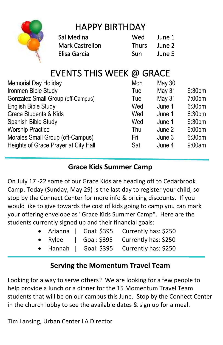

## HAPPY BIRTHDAY

| Sal Medina             | Wed          | June 1 |
|------------------------|--------------|--------|
| <b>Mark Castrellon</b> | <b>Thurs</b> | June 2 |
| Elisa Garcia           | Sun          | June 5 |

## EVENTS THIS WEEK @ GRACE

| <b>May 30</b> |                    |
|---------------|--------------------|
| May 31        | 6:30 <sub>pm</sub> |
| May 31        | 7:00 <sub>pm</sub> |
| June 1        | 6:30 <sub>pm</sub> |
| June 1        | 6:30 <sub>pm</sub> |
| June 1        | 6:30 <sub>pm</sub> |
| June 2        | 6:00 <sub>pm</sub> |
| June 3        | 6:30 <sub>pm</sub> |
| June 4        | 9:00am             |
|               |                    |

#### **Grace Kids Summer Camp**

On July 17 -22 some of our Grace Kids are heading off to Cedarbrook Camp. Today (Sunday, May 29) is the last day to register your child, so stop by the Connect Center for more info & pricing discounts. If you would like to give towards the cost of kids going to camp you can mark your offering envelope as "Grace Kids Summer Camp". Here are the students currently signed up and their financial goals:

|  |  | • Arianna   Goal: \$395 Currently has: \$250     |
|--|--|--------------------------------------------------|
|  |  | • Rylee $\vert$ Goal: \$395 Currently has: \$250 |
|  |  | • Hannah   Goal: \$395 Currently has: \$250      |

### **Serving the Momentum Travel Team**

Looking for a way to serve others? We are looking for a few people to help provide a lunch or a dinner for the 15 Momentum Travel Team students that will be on our campus this June. Stop by the Connect Center in the church lobby to see the available dates & sign up for a meal.

Tim Lansing, Urban Center LA Director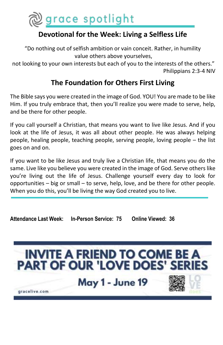

#### **Devotional for the Week: Living a Selfless Life**

"Do nothing out of selfish ambition or vain conceit. Rather, in humility value others above yourselves,

not looking to your own interests but each of you to the interests of the others." Philippians 2:3-4 NIV

#### **The Foundation for Others First Living**

The Bible says you were created in the image of God. YOU! You are made to be like Him. If you truly embrace that, then you'll realize you were made to serve, help, and be there for other people.

If you call yourself a Christian, that means you want to live like Jesus. And if you look at the life of Jesus, it was all about other people. He was always helping people, healing people, teaching people, serving people, loving people – the list goes on and on.

If you want to be like Jesus and truly live a Christian life, that means you do the same. Live like you believe you were created in the image of God. Serve others like you're living out the life of Jesus. Challenge yourself every day to look for opportunities – big or small – to serve, help, love, and be there for other people. When you do this, you'll be living the way God created you to live.

**Attendance Last Week: In-Person Service: 75 Online Viewed: 36**